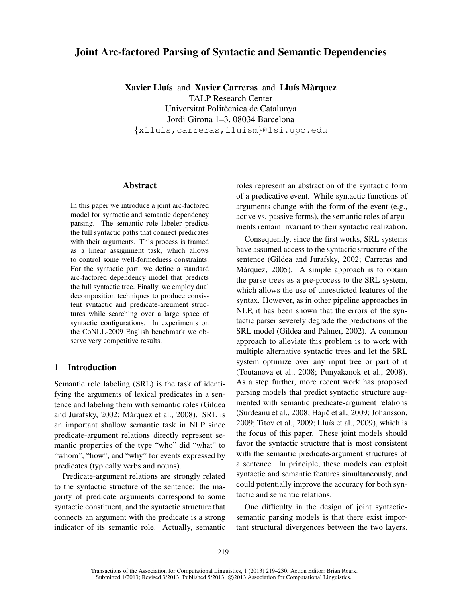# Joint Arc-factored Parsing of Syntactic and Semantic Dependencies

Xavier Lluís and Xavier Carreras and Lluís Màrquez TALP Research Center Universitat Politècnica de Catalunya Jordi Girona 1–3, 08034 Barcelona {xlluis,carreras,lluism}@lsi.upc.edu

### Abstract

In this paper we introduce a joint arc-factored model for syntactic and semantic dependency parsing. The semantic role labeler predicts the full syntactic paths that connect predicates with their arguments. This process is framed as a linear assignment task, which allows to control some well-formedness constraints. For the syntactic part, we define a standard arc-factored dependency model that predicts the full syntactic tree. Finally, we employ dual decomposition techniques to produce consistent syntactic and predicate-argument structures while searching over a large space of syntactic configurations. In experiments on the CoNLL-2009 English benchmark we observe very competitive results.

## 1 Introduction

Semantic role labeling (SRL) is the task of identifying the arguments of lexical predicates in a sentence and labeling them with semantic roles (Gildea and Jurafsky, 2002; Màrquez et al., 2008). SRL is an important shallow semantic task in NLP since predicate-argument relations directly represent semantic properties of the type "who" did "what" to "whom", "how", and "why" for events expressed by predicates (typically verbs and nouns).

Predicate-argument relations are strongly related to the syntactic structure of the sentence: the majority of predicate arguments correspond to some syntactic constituent, and the syntactic structure that connects an argument with the predicate is a strong indicator of its semantic role. Actually, semantic roles represent an abstraction of the syntactic form of a predicative event. While syntactic functions of arguments change with the form of the event (e.g., active vs. passive forms), the semantic roles of arguments remain invariant to their syntactic realization.

Consequently, since the first works, SRL systems have assumed access to the syntactic structure of the sentence (Gildea and Jurafsky, 2002; Carreras and Màrquez, 2005). A simple approach is to obtain the parse trees as a pre-process to the SRL system, which allows the use of unrestricted features of the syntax. However, as in other pipeline approaches in NLP, it has been shown that the errors of the syntactic parser severely degrade the predictions of the SRL model (Gildea and Palmer, 2002). A common approach to alleviate this problem is to work with multiple alternative syntactic trees and let the SRL system optimize over any input tree or part of it (Toutanova et al., 2008; Punyakanok et al., 2008). As a step further, more recent work has proposed parsing models that predict syntactic structure augmented with semantic predicate-argument relations (Surdeanu et al., 2008; Hajič et al., 2009; Johansson, 2009; Titov et al., 2009; Lluís et al., 2009), which is the focus of this paper. These joint models should favor the syntactic structure that is most consistent with the semantic predicate-argument structures of a sentence. In principle, these models can exploit syntactic and semantic features simultaneously, and could potentially improve the accuracy for both syntactic and semantic relations.

One difficulty in the design of joint syntacticsemantic parsing models is that there exist important structural divergences between the two layers.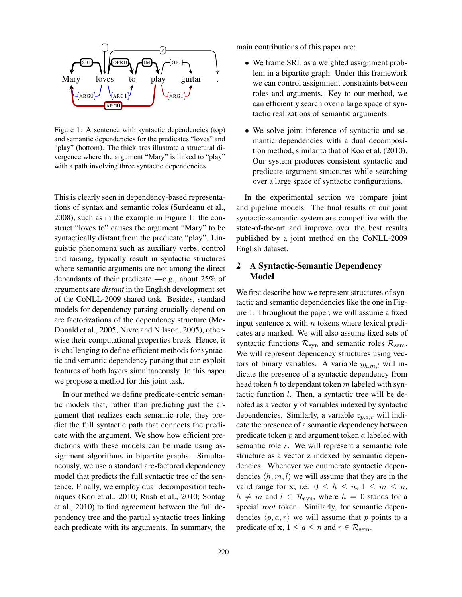

Figure 1: A sentence with syntactic dependencies (top) vergence where the argument "Mary" is linked to "play" with a path involving three syntactic dependencies. and semantic dependencies for the predicates "loves" and "play" (bottom). The thick arcs illustrate a structural di-

This is clearly seen in dependency-based representa- $2008$ ), such as in the example in Figure 1: the construct "loves to" causes the argument "Mary" to be syntactically distant from the predicate "play". Linguistic phenomena such as auxiliary verbs, control and raising, typically result in syntactic structures where semantic arguments are not among the direct dependants of their predicate  $-e.g.,$  about 25% of arguments are *distant* in the English development set of the CoNLL-2009 shared task. Besides, standard models for dependency parsing crucially depend on arc factorizations of the dependency structure (Mc-Donald et al., 2005; Nivre and Nilsson, 2005), otheris challenging to define efficient methods for syntactic and semantic dependency parsing that can exploit we propose a method for this joint task. tions of syntax and semantic roles (Surdeanu et al., wise their computational properties break. Hence, it features of both layers simultaneously. In this paper

In our method we define predicate-centric seman-In our memor we define predictive centre semantic models that, rather than predicting just the arsument that realizes each semantic role, they preexternal equality pair and contract are predictions with these models can be made using assignment algorithms in bipartite graphs. Simultaneously, we use a standard arc-factored dependency s shower that predicts the run syntactic tree or the sentence. Finally, we employ dual decomposition techficiel. Finany, we employ dual decomposition techniques (Koo et al., 2010; Rush et al., 2010; Sontag and was victor of any 2010, Rush of any 2010, Somald et al., 2010) to find agreement between the full de-2005). pendency tree and the partial syntactic trees linking  $\frac{1}{2}$  seach predicate with its arguments. In summary, the  $\frac{1}{\sqrt{2}}$ dict the full syntactic path that connects the predimodel that predicts the full syntactic tree of the senmain contributions of this paper are:

- We frame SRL as a weighted assignment problem in a bipartite graph. Under this framework we can control assignment constraints between roles and arguments. Key to our method, we can efficiently search over a large space of syntactic realizations of semantic arguments.
- $\bullet$  We solve joint inference of syntactic and sewe solve joint interface of syntactic and search mantic dependencies with a dual decomposition method, similar to that of Koo et al. (2010). Our system produces consistent syntactic and predicate-argument structures while searching over a large space of syntactic configurations. following previous work (Johansson, 2009). For-

In the experimental section we compare joint and pipeline models. The final results of our joint syntactic-semantic system are competitive with the  $\frac{1}{2}$ symacut-semantic system are competitive with the<br>state-of-the-art and improve over the best results ate-or-the-art and improve over the best results<br>ublished by a joint method on the CoNLL-2009 published by a joint method on the CoNLL-2009<br>English detect ample of  $\alpha$ English dataset.

#### 2 A Syntactic-Semantic Dependency  $$ Model

We first describe how we represent structures of synthe matures of syntantic dependencies like the one in Figure 1. Throughout the paper, we will assume a fixed input sentence  $x$  with  $n$  tokens where lexical predisyntactic functions  $\mathcal{R}_{syn}$  and semantic roles  $\mathcal{R}_{sem}$ . We will represent depencency structures using vec-<br>tors of binery veriphles  $\Lambda$  veriphle as a will in tors of binary variables. A variable  $y_{h,m,l}$  will indicate the presence of a syntactic dependency from head token h to dependant token m labeled with syn- $\det$  the interest  $\ell$ . Then, a symmetric even be dedependencies. Similarly, a variable  $z_{p,a,r}$  will indicate the presence of a semantic dependency between predicate token  $p$  and argument token  $a$  labeled with semantic role  $r$ . We will represent a semantic role structure as a vector z indexed by semantic dependencies  $\langle h, m, l \rangle$  we will assume that they are in the ! dencies. Whenever we enumerate syntactic depenvalid range for x, i.e.  $0 \le h \le n, 1 \le m \le n$ ,  $h \neq m$  and  $l \in \mathcal{R}_{syn}$ , where  $h = 0$  stands for a special *root* token. Similarly, for semantic dependencies  $\langle p, a, r \rangle$  we will assume that p points to a predicate of  $x, 1 \le a \le n$  and  $r \in \mathcal{R}_{sem}$ . cates are marked. We will also assume fixed sets of tactic function  $l$ . Then, a syntactic tree will be de-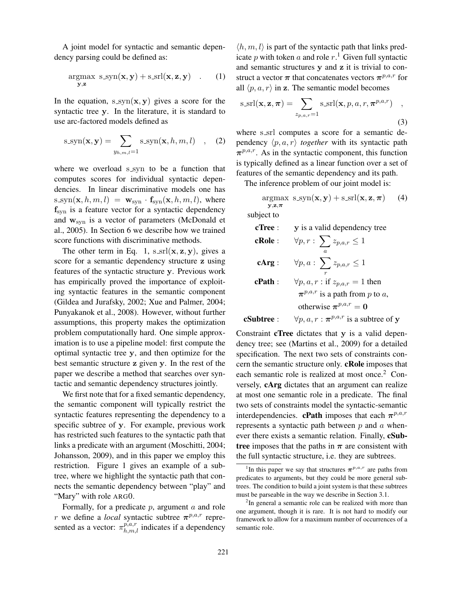A joint model for syntactic and semantic dependency parsing could be defined as:

$$
\underset{\mathbf{y},\mathbf{z}}{\text{argmax}} \ \ \text{s}.\text{syn}(\mathbf{x},\mathbf{y}) + \text{s}.\text{srl}(\mathbf{x},\mathbf{z},\mathbf{y}) \quad . \qquad (1)
$$

In the equation,  $s\text{-sym}(\mathbf{x}, \mathbf{y})$  gives a score for the syntactic tree y. In the literature, it is standard to use arc-factored models defined as

$$
s\text{-syn}(\mathbf{x}, \mathbf{y}) = \sum_{y_{h,m,l}=1} s\text{-syn}(\mathbf{x}, h, m, l) \quad , \quad (2)
$$

where we overload s\_syn to be a function that computes scores for individual syntactic dependencies. In linear discriminative models one has  $s \text{sgn}(\mathbf{x}, h, m, l) = \mathbf{w}_{syn} \cdot \mathbf{f}_{syn}(\mathbf{x}, h, m, l)$ , where  $f_{syn}$  is a feature vector for a syntactic dependency and  $w_{syn}$  is a vector of parameters (McDonald et al., 2005). In Section 6 we describe how we trained score functions with discriminative methods.

The other term in Eq. 1,  $s$ \_srl( $\mathbf{x}, \mathbf{z}, \mathbf{y}$ ), gives a score for a semantic dependency structure z using features of the syntactic structure y. Previous work has empirically proved the importance of exploiting syntactic features in the semantic component (Gildea and Jurafsky, 2002; Xue and Palmer, 2004; Punyakanok et al., 2008). However, without further assumptions, this property makes the optimization problem computationally hard. One simple approximation is to use a pipeline model: first compute the optimal syntactic tree y, and then optimize for the best semantic structure z given y. In the rest of the paper we describe a method that searches over syntactic and semantic dependency structures jointly.

We first note that for a fixed semantic dependency, the semantic component will typically restrict the syntactic features representing the dependency to a specific subtree of y. For example, previous work has restricted such features to the syntactic path that links a predicate with an argument (Moschitti, 2004; Johansson, 2009), and in this paper we employ this restriction. Figure 1 gives an example of a subtree, where we highlight the syntactic path that connects the semantic dependency between "play" and "Mary" with role ARG0.

Formally, for a predicate  $p$ , argument  $a$  and role *r* we define a *local* syntactic subtree  $\pi^{p,a,r}$  represented as a vector:  $\pi_{h,m,l}^{p,a,r}$  indicates if a dependency

 $\langle h, m, l \rangle$  is part of the syntactic path that links predicate p with token a and role  $r<sup>1</sup>$ . Given full syntactic and semantic structures y and z it is trivial to construct a vector  $\pi$  that concatenates vectors  $\pi^{p,a,r}$  for all  $\langle p, a, r \rangle$  in z. The semantic model becomes

$$
\text{s\_srl}(\mathbf{x}, \mathbf{z}, \boldsymbol{\pi}) = \sum_{z_{p,a,r}=1} \text{s\_srl}(\mathbf{x}, p, a, r, \boldsymbol{\pi}^{p,a,r}) \quad ,
$$
\n(3)

where s\_srl computes a score for a semantic dependency  $\langle p, a, r \rangle$  *together* with its syntactic path  $\pi^{p,a,r}$ . As in the syntactic component, this function is typically defined as a linear function over a set of features of the semantic dependency and its path.

The inference problem of our joint model is:

$$
\underset{\mathbf{y},\mathbf{z},\boldsymbol{\pi}}{\text{argmax}} \ \ \text{s}.\text{syn}(\mathbf{x},\mathbf{y}) + \text{s}.\text{srl}(\mathbf{x},\mathbf{z},\boldsymbol{\pi}) \qquad (4)
$$

subject to

| cTree:     | y is a valid dependency tree                              |
|------------|-----------------------------------------------------------|
| cRole:     | $\forall p,r:\sum z_{p,a,r}\leq 1$<br>$\alpha$            |
| cArg:      | $\forall p, a: \sum z_{p,a,r} \leq 1$                     |
| cPath:     | $\forall p, a, r : \text{if } z_{p,a,r} = 1 \text{ then}$ |
|            | $\pi^{p,a,r}$ is a path from p to a,                      |
|            | otherwise $\pi^{p,a,r} = 0$                               |
| cSubtree : | $\forall p, a, r : \pi^{p,a,r}$ is a subtree of y         |

Constraint cTree dictates that y is a valid dependency tree; see (Martins et al., 2009) for a detailed specification. The next two sets of constraints concern the semantic structure only. cRole imposes that each semantic role is realized at most once.<sup>2</sup> Conversely, cArg dictates that an argument can realize at most one semantic role in a predicate. The final two sets of constraints model the syntactic-semantic interdependencies. **cPath** imposes that each  $\pi^{p,a,r}$ represents a syntactic path between  $p$  and  $a$  whenever there exists a semantic relation. Finally, cSubtree imposes that the paths in  $\pi$  are consistent with the full syntactic structure, i.e. they are subtrees.

<sup>&</sup>lt;sup>1</sup>In this paper we say that structures  $\pi^{p,a,r}$  are paths from predicates to arguments, but they could be more general subtrees. The condition to build a joint system is that these subtrees must be parseable in the way we describe in Section 3.1.

<sup>&</sup>lt;sup>2</sup>In general a semantic role can be realized with more than one argument, though it is rare. It is not hard to modify our framework to allow for a maximum number of occurrences of a semantic role.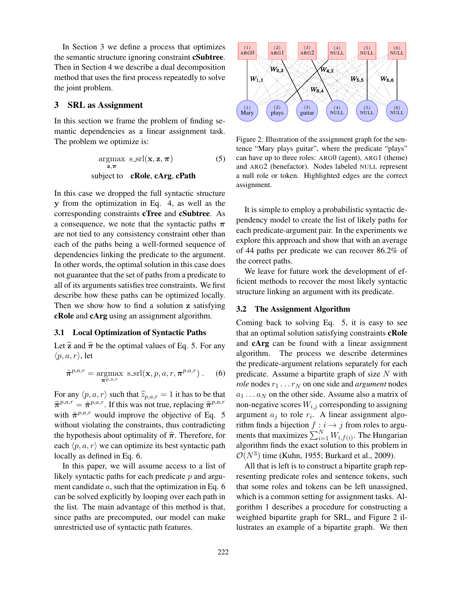In Section 3 we define a process that optimizes the semantic structure ignoring constraint cSubtree. Then in Section 4 we describe a dual decomposition method that uses the first process repeatedly to solve the joint problem.

# 3 SRL as Assignment

In this section we frame the problem of finding semantic dependencies as a linear assignment task. The problem we optimize is:

$$
\underset{\mathbf{z}, \pi}{\operatorname{argmax}} \ \ \underset{\mathbf{c}}{\operatorname{ssrl}}(\mathbf{x}, \mathbf{z}, \pi) \tag{5}
$$
\n
$$
\text{subject to} \quad \text{cRole, } \text{cArg, } \text{cPath}
$$

In this case we dropped the full syntactic structure y from the optimization in Eq. 4, as well as the corresponding constraints cTree and cSubtree. As a consequence, we note that the syntactic paths  $\pi$ are not tied to any consistency constraint other than each of the paths being a well-formed sequence of dependencies linking the predicate to the argument. In other words, the optimal solution in this case does not guarantee that the set of paths from a predicate to all of its arguments satisfies tree constraints. We first describe how these paths can be optimized locally. Then we show how to find a solution z satisfying cRole and cArg using an assignment algorithm.

### 3.1 Local Optimization of Syntactic Paths

Let  $\hat{z}$  and  $\hat{\pi}$  be the optimal values of Eq. 5. For any  $\langle p, a, r \rangle$ , let

$$
\tilde{\pi}^{p,a,r} = \underset{\pi^{p,a,r}}{\operatorname{argmax}} \ \mathrm{s}.\mathrm{srl}(\mathbf{x}, p, a, r, \pi^{p,a,r}) \ . \tag{6}
$$

For any  $\langle p, a, r \rangle$  such that  $\widehat{z}_{p,a,r} = 1$  it has to be that  $\hat{\pi}^{p,a,r} = \tilde{\pi}^{p,a,r}$ . If this was not true, replacing  $\hat{\pi}^{p,a,r}$ with  $\tilde{\pi}^{p,a,r}$  would improve the objective of Eq. 5 without violating the constraints, thus contradicting the hypothesis about optimality of  $\hat{\pi}$ . Therefore, for each  $\langle p, a, r \rangle$  we can optimize its best syntactic path locally as defined in Eq. 6.

In this paper, we will assume access to a list of likely syntactic paths for each predicate  $p$  and argument candidate a, such that the optimization in Eq. 6 can be solved explicitly by looping over each path in the list. The main advantage of this method is that, since paths are precomputed, our model can make unrestricted use of syntactic path features.



Figure 2: Illustration of the assignment graph for the sentence "Mary plays guitar", where the predicate "plays" can have up to three roles: ARG0 (agent), ARG1 (theme) and ARG2 (benefactor). Nodes labeled NULL represent a null role or token. Highlighted edges are the correct assignment.

It is simple to employ a probabilistic syntactic dependency model to create the list of likely paths for each predicate-argument pair. In the experiments we explore this approach and show that with an average of 44 paths per predicate we can recover 86.2% of the correct paths.

We leave for future work the development of efficient methods to recover the most likely syntactic structure linking an argument with its predicate.

### 3.2 The Assignment Algorithm

Coming back to solving Eq. 5, it is easy to see that an optimal solution satisfying constraints cRole and cArg can be found with a linear assignment algorithm. The process we describe determines the predicate-argument relations separately for each predicate. Assume a bipartite graph of size  $N$  with *role* nodes  $r_1 \nldots r_N$  on one side and *argument* nodes  $a_1 \ldots a_N$  on the other side. Assume also a matrix of non-negative scores  $W_{i,j}$  corresponding to assigning argument  $a_j$  to role  $r_i$ . A linear assignment algorithm finds a bijection  $f : i \to j$  from roles to arguments that maximizes  $\sum_{i=1}^{N} W_{i,f(i)}$ . The Hungarian algorithm finds the exact solution to this problem in  $\mathcal{O}(N^3)$  time (Kuhn, 1955; Burkard et al., 2009).

All that is left is to construct a bipartite graph representing predicate roles and sentence tokens, such that some roles and tokens can be left unassigned, which is a common setting for assignment tasks. Algorithm 1 describes a procedure for constructing a weighted bipartite graph for SRL, and Figure 2 illustrates an example of a bipartite graph. We then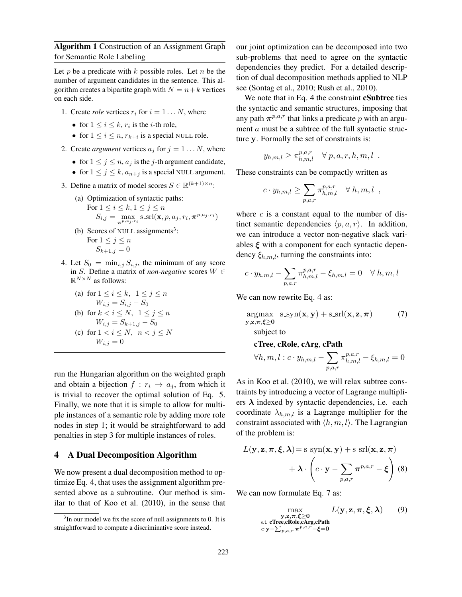Algorithm 1 Construction of an Assignment Graph for Semantic Role Labeling

Let p be a predicate with  $k$  possible roles. Let  $n$  be the number of argument candidates in the sentence. This algorithm creates a bipartite graph with  $N = n + k$  vertices on each side.

- 1. Create *role* vertices  $r_i$  for  $i = 1...N$ , where
	- for  $1 \leq i \leq k$ ,  $r_i$  is the *i*-th role,
	- for  $1 \leq i \leq n$ ,  $r_{k+i}$  is a special NULL role.
- 2. Create *argument* vertices  $a_j$  for  $j = 1...N$ , where
	- for  $1 \le j \le n$ ,  $a_j$  is the *j*-th argument candidate,
	- for  $1 \leq j \leq k$ ,  $a_{n+j}$  is a special NULL argument.
- 3. Define a matrix of model scores  $S \in \mathbb{R}^{(k+1)\times n}$ :
	- (a) Optimization of syntactic paths: For  $1 \leq i \leq k, 1 \leq j \leq n$  $S_{i,j} = \max_{\boldsymbol{\pi}^{p, a_j, r_i}} s\_srl(\mathbf{x}, p, a_j, r_i, \boldsymbol{\pi}^{p, a_j, r_i})$
	- (b) Scores of NULL assignments<sup>3</sup>: For  $1 \leq j \leq n$  $S_{k+1,j} = 0$
- 4. Let  $S_0 = \min_{i,j} S_{i,j}$ , the minimum of any score in S. Define a matrix of *non-negative* scores W ∈  $\mathbb{R}^{N\times N}$  as follows:

(a) for 
$$
1 \le i \le k
$$
,  $1 \le j \le n$   
\n $W_{i,j} = S_{i,j} - S_0$   
\n(b) for  $k < i \le N$ ,  $1 \le j \le n$   
\n $W_{i,j} = S_{k+1,j} - S_0$   
\n(c) for  $1 < i \le N$ ,  $n < j \le N$   
\n $W_{i,j} = 0$ 

run the Hungarian algorithm on the weighted graph and obtain a bijection  $f : r_i \rightarrow a_j$ , from which it is trivial to recover the optimal solution of Eq. 5. Finally, we note that it is simple to allow for multiple instances of a semantic role by adding more role nodes in step 1; it would be straightforward to add penalties in step 3 for multiple instances of roles.

### 4 A Dual Decomposition Algorithm

We now present a dual decomposition method to optimize Eq. 4, that uses the assignment algorithm presented above as a subroutine. Our method is similar to that of Koo et al. (2010), in the sense that our joint optimization can be decomposed into two sub-problems that need to agree on the syntactic dependencies they predict. For a detailed description of dual decomposition methods applied to NLP see (Sontag et al., 2010; Rush et al., 2010).

We note that in Eq. 4 the constraint **cSubtree** ties the syntactic and semantic structures, imposing that any path  $\pi^{p,a,r}$  that links a predicate p with an argument *a* must be a subtree of the full syntactic structure y. Formally the set of constraints is:

$$
y_{h,m,l} \geq \pi_{h,m,l}^{p,a,r} \quad \forall p,a,r,h,m,l \enspace .
$$

These constraints can be compactly written as

$$
c \cdot y_{h,m,l} \ge \sum_{p,a,r} \pi_{h,m,l}^{p,a,r} \quad \forall \ h,m,l \ ,
$$

where  $c$  is a constant equal to the number of distinct semantic dependencies  $\langle p, a, r \rangle$ . In addition, we can introduce a vector non-negative slack variables  $\xi$  with a component for each syntactic dependency  $\xi_{h,m,l}$ , turning the constraints into:

$$
c \cdot y_{h,m,l} - \sum_{p,a,r} \pi_{h,m,l}^{p,a,r} - \xi_{h,m,l} = 0 \quad \forall \ h,m,l
$$

We can now rewrite Eq. 4 as:

$$
\underset{\mathbf{y},\mathbf{z},\boldsymbol{\pi},\boldsymbol{\xi}\geq\mathbf{0}}{\operatorname{argmax}} \quad \underset{\mathbf{y},\mathbf{z},\boldsymbol{\pi},\boldsymbol{\xi}\geq\mathbf{0}}{\operatorname{sign}(\mathbf{x},\mathbf{y})} + \text{s}.\text{srl}(\mathbf{x},\mathbf{z},\boldsymbol{\pi}) \tag{7}
$$

subject to

### cTree, cRole, cArg, cPath

$$
\forall h, m, l: c \cdot y_{h,m,l} - \sum_{p,a,r} \pi_{h,m,l}^{p,a,r} - \xi_{h,m,l} = 0
$$

As in Koo et al. (2010), we will relax subtree constraints by introducing a vector of Lagrange multipliers  $\lambda$  indexed by syntactic dependencies, i.e. each coordinate  $\lambda_{h,m,l}$  is a Lagrange multiplier for the constraint associated with  $\langle h, m, l \rangle$ . The Lagrangian of the problem is:

$$
L(\mathbf{y}, \mathbf{z}, \boldsymbol{\pi}, \boldsymbol{\xi}, \boldsymbol{\lambda}) = \text{s}.\text{syn}(\mathbf{x}, \mathbf{y}) + \text{s}.\text{srl}(\mathbf{x}, \mathbf{z}, \boldsymbol{\pi}) + \boldsymbol{\lambda} \cdot \left(c \cdot \mathbf{y} - \sum_{p, a, r} \boldsymbol{\pi}^{p, a, r} - \boldsymbol{\xi}\right)
$$
(8)

We can now formulate Eq. 7 as:

$$
\max_{\substack{\mathbf{y},\mathbf{z},\boldsymbol{\pi},\boldsymbol{\xi}\geq 0\\ \text{s.t. cTree, cRole, cArg, cPath} }} L(\mathbf{y},\mathbf{z},\boldsymbol{\pi},\boldsymbol{\xi},\boldsymbol{\lambda})
$$
(9)

 $3$ In our model we fix the score of null assignments to 0. It is straightforward to compute a discriminative score instead.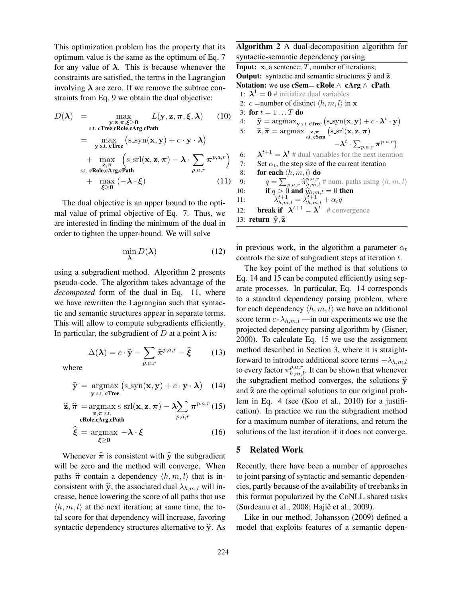This optimization problem has the property that its optimum value is the same as the optimum of Eq. 7 for any value of  $\lambda$ . This is because whenever the constraints are satisfied, the terms in the Lagrangian involving  $\lambda$  are zero. If we remove the subtree constraints from Eq. 9 we obtain the dual objective:

$$
D(\lambda) = \max_{\substack{\mathbf{y}, \mathbf{z}, \boldsymbol{\pi}, \boldsymbol{\xi} \ge 0 \\ \text{s.t. cTree}, \text{Role}, \text{cArg}, \text{Path}}} L(\mathbf{y}, \mathbf{z}, \boldsymbol{\pi}, \boldsymbol{\xi}, \lambda) \qquad (10)
$$
  
\n
$$
= \max_{\substack{\mathbf{y} \text{ s.t. cTree}}} (\text{s} \text{-syn}(\mathbf{x}, \mathbf{y}) + c \cdot \mathbf{y} \cdot \lambda)
$$
  
\n
$$
+ \max_{\substack{\mathbf{z}, \boldsymbol{\pi} \\ \mathbf{z}, \boldsymbol{\pi}}} (\text{s} \text{-srl}(\mathbf{x}, \mathbf{z}, \boldsymbol{\pi}) - \lambda \cdot \sum_{p, a, r} \boldsymbol{\pi}^{p, a, r})
$$
  
\n
$$
+ \max_{\substack{\mathbf{z} \ge 0}} (-\lambda \cdot \boldsymbol{\xi}) \qquad (11)
$$

The dual objective is an upper bound to the optimal value of primal objective of Eq. 7. Thus, we are interested in finding the minimum of the dual in order to tighten the upper-bound. We will solve

$$
\min_{\lambda} D(\lambda) \tag{12}
$$

using a subgradient method. Algorithm 2 presents pseudo-code. The algorithm takes advantage of the *decomposed* form of the dual in Eq. 11, where we have rewritten the Lagrangian such that syntactic and semantic structures appear in separate terms. This will allow to compute subgradients efficiently. In particular, the subgradient of D at a point  $\lambda$  is:

$$
\Delta(\lambda) = c \cdot \hat{\mathbf{y}} - \sum_{p,a,r} \hat{\pi}^{p,a,r} - \hat{\xi} \tag{13}
$$

where

$$
\widehat{\mathbf{y}} = \underset{\mathbf{y} \text{ s.t. cTree}}{\text{argmax}} (\text{s}.\text{syn}(\mathbf{x}, \mathbf{y}) + c \cdot \mathbf{y} \cdot \boldsymbol{\lambda}) \quad (14)
$$

$$
\widehat{\mathbf{z}}, \widehat{\boldsymbol{\pi}} = \underset{\substack{\mathbf{z}, \boldsymbol{\pi} \text{ s.t.} \\ \text{cRole,cArg,cPath}}}{} \text{as } \text{ssrl}(\mathbf{x}, \mathbf{z}, \boldsymbol{\pi}) - \lambda \sum_{p, a, r} \boldsymbol{\pi}^{p, a, r} \tag{15}
$$

$$
\hat{\xi} = \underset{\xi \ge 0}{\operatorname{argmax}} -\lambda \cdot \xi \tag{16}
$$

Whenever  $\hat{\pi}$  is consistent with  $\hat{y}$  the subgradient will be zero and the method will converge. When paths  $\hat{\pi}$  contain a dependency  $\langle h, m, l \rangle$  that is inconsistent with  $\hat{y}$ , the associated dual  $\lambda_{h,m,l}$  will increase, hence lowering the score of all paths that use  $\langle h, m, l \rangle$  at the next iteration; at same time, the total score for that dependency will increase, favoring syntactic dependency structures alternative to  $\hat{y}$ . As Algorithm 2 A dual-decomposition algorithm for syntactic-semantic dependency parsing **Input:**  $x$ , a sentence;  $T$ , number of iterations; **Output:** syntactic and semantic structures  $\hat{y}$  and  $\hat{z}$ Notation: we use cSem= cRole  $\wedge$  cArg  $\wedge$  cPath 1:  $\lambda^1 = 0$  # initialize dual variables 2: c = number of distinct  $\langle h, m, l \rangle$  in x 3: for  $t = 1 \dots T$  do 4:  $\hat{y} = \operatorname{argmax}_{y \text{ s.t. cTree}} (\text{s}.\text{syn}(\mathbf{x}, y) + c \cdot \lambda^t \cdot y)$ 5:  $\widehat{\mathbf{z}}, \widehat{\boldsymbol{\pi}} = \arg\max_{\mathbf{s}, \mathbf{t}} \sum_{\mathbf{cSem}}$  $(s\,\text{srl}(\mathbf{x}, \mathbf{z}, \pi))$  $-{\boldsymbol{\lambda}}^t\cdot \sum_{p,a,r}\boldsymbol{\pi}^{p,a,r}\big)$ 6:  $\lambda^{t+1} = \lambda^t$  # dual variables for the next iteration 7: Set  $\alpha_t$ , the step size of the current iteration 8: **for each**  $\langle h, m, l \rangle$  **do**<br>9:  $q = \sum_{n \text{ s}} \hat{\pi}_{h,n,l}^{p,a,r}$ 9:  $q = \sum_{p,a,r} \hat{\pi}_{h,m,l}^{p,a,r}$  # num. paths using  $\langle h, m, l \rangle$ 10: **if**  $q > 0$  and  $\widehat{y}_{h,m,l} = 0$  then 11:  $t^{t+1}_{h,m,l} = \lambda^{t+1}_{h,m,l} + \alpha_t q$ 12: **break if**  $\lambda^{t+1} = \lambda^t$  # convergence 13: return  $\hat{\mathbf{y}}, \hat{\mathbf{z}}$ 

in previous work, in the algorithm a parameter  $\alpha_t$ controls the size of subgradient steps at iteration  $t$ .

The key point of the method is that solutions to Eq. 14 and 15 can be computed efficiently using separate processes. In particular, Eq. 14 corresponds to a standard dependency parsing problem, where for each dependency  $\langle h, m, l \rangle$  we have an additional score term  $c \cdot \lambda_{h,m,l}$  —in our experiments we use the projected dependency parsing algorithm by (Eisner, 2000). To calculate Eq. 15 we use the assignment method described in Section 3, where it is straightforward to introduce additional score terms  $-\lambda_{h,m,l}$ to every factor  $\pi_{h,m,l}^{p,a,r}$ . It can be shown that whenever the subgradient method converges, the solutions  $\hat{y}$ and  $\hat{z}$  are the optimal solutions to our original problem in Eq. 4 (see (Koo et al., 2010) for a justification). In practice we run the subgradient method for a maximum number of iterations, and return the solutions of the last iteration if it does not converge.

### 5 Related Work

Recently, there have been a number of approaches to joint parsing of syntactic and semantic dependencies, partly because of the availability of treebanks in this format popularized by the CoNLL shared tasks (Surdeanu et al., 2008; Hajič et al., 2009).

Like in our method, Johansson (2009) defined a model that exploits features of a semantic depen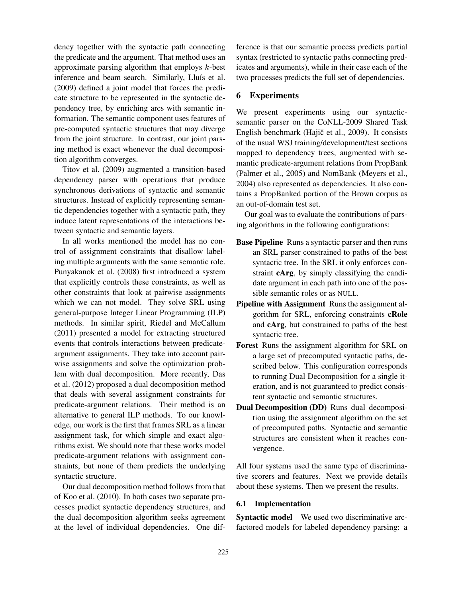dency together with the syntactic path connecting the predicate and the argument. That method uses an approximate parsing algorithm that employs  $k$ -best inference and beam search. Similarly, Lluís et al. (2009) defined a joint model that forces the predicate structure to be represented in the syntactic dependency tree, by enriching arcs with semantic information. The semantic component uses features of pre-computed syntactic structures that may diverge from the joint structure. In contrast, our joint parsing method is exact whenever the dual decomposition algorithm converges.

Titov et al. (2009) augmented a transition-based dependency parser with operations that produce synchronous derivations of syntactic and semantic structures. Instead of explicitly representing semantic dependencies together with a syntactic path, they induce latent representations of the interactions between syntactic and semantic layers.

In all works mentioned the model has no control of assignment constraints that disallow labeling multiple arguments with the same semantic role. Punyakanok et al. (2008) first introduced a system that explicitly controls these constraints, as well as other constraints that look at pairwise assignments which we can not model. They solve SRL using general-purpose Integer Linear Programming (ILP) methods. In similar spirit, Riedel and McCallum (2011) presented a model for extracting structured events that controls interactions between predicateargument assignments. They take into account pairwise assignments and solve the optimization problem with dual decomposition. More recently, Das et al. (2012) proposed a dual decomposition method that deals with several assignment constraints for predicate-argument relations. Their method is an alternative to general ILP methods. To our knowledge, our work is the first that frames SRL as a linear assignment task, for which simple and exact algorithms exist. We should note that these works model predicate-argument relations with assignment constraints, but none of them predicts the underlying syntactic structure.

Our dual decomposition method follows from that of Koo et al. (2010). In both cases two separate processes predict syntactic dependency structures, and the dual decomposition algorithm seeks agreement at the level of individual dependencies. One difference is that our semantic process predicts partial syntax (restricted to syntactic paths connecting predicates and arguments), while in their case each of the two processes predicts the full set of dependencies.

### 6 Experiments

We present experiments using our syntacticsemantic parser on the CoNLL-2009 Shared Task English benchmark (Hajič et al., 2009). It consists of the usual WSJ training/development/test sections mapped to dependency trees, augmented with semantic predicate-argument relations from PropBank (Palmer et al., 2005) and NomBank (Meyers et al., 2004) also represented as dependencies. It also contains a PropBanked portion of the Brown corpus as an out-of-domain test set.

Our goal was to evaluate the contributions of parsing algorithms in the following configurations:

- Base Pipeline Runs a syntactic parser and then runs an SRL parser constrained to paths of the best syntactic tree. In the SRL it only enforces constraint cArg, by simply classifying the candidate argument in each path into one of the possible semantic roles or as NULL.
- Pipeline with Assignment Runs the assignment algorithm for SRL, enforcing constraints cRole and cArg, but constrained to paths of the best syntactic tree.
- Forest Runs the assignment algorithm for SRL on a large set of precomputed syntactic paths, described below. This configuration corresponds to running Dual Decomposition for a single iteration, and is not guaranteed to predict consistent syntactic and semantic structures.
- Dual Decomposition (DD) Runs dual decomposition using the assignment algorithm on the set of precomputed paths. Syntactic and semantic structures are consistent when it reaches convergence.

All four systems used the same type of discriminative scorers and features. Next we provide details about these systems. Then we present the results.

### 6.1 Implementation

Syntactic model We used two discriminative arcfactored models for labeled dependency parsing: a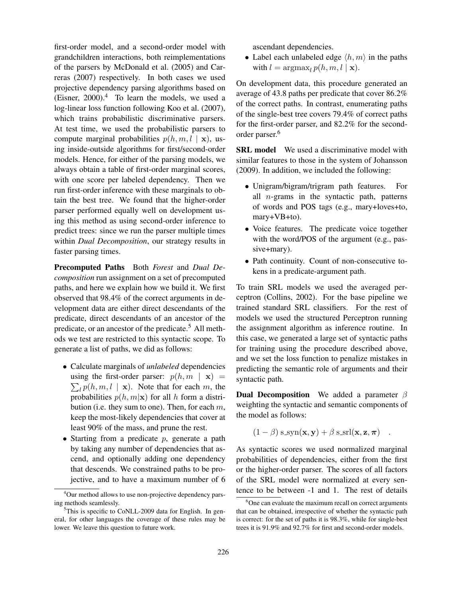first-order model, and a second-order model with grandchildren interactions, both reimplementations of the parsers by McDonald et al. (2005) and Carreras (2007) respectively. In both cases we used projective dependency parsing algorithms based on (Eisner,  $2000$ ).<sup>4</sup> To learn the models, we used a log-linear loss function following Koo et al. (2007), which trains probabilistic discriminative parsers. At test time, we used the probabilistic parsers to compute marginal probabilities  $p(h, m, l \mid \mathbf{x})$ , using inside-outside algorithms for first/second-order models. Hence, for either of the parsing models, we always obtain a table of first-order marginal scores, with one score per labeled dependency. Then we run first-order inference with these marginals to obtain the best tree. We found that the higher-order parser performed equally well on development using this method as using second-order inference to predict trees: since we run the parser multiple times within *Dual Decomposition*, our strategy results in faster parsing times.

Precomputed Paths Both *Forest* and *Dual Decomposition* run assignment on a set of precomputed paths, and here we explain how we build it. We first observed that 98.4% of the correct arguments in development data are either direct descendants of the predicate, direct descendants of an ancestor of the predicate, or an ancestor of the predicate.<sup>5</sup> All methods we test are restricted to this syntactic scope. To generate a list of paths, we did as follows:

- Calculate marginals of *unlabeled* dependencies using the first-order parser:  $p(h, m \mid \mathbf{x}) =$  $\sum_l p(h, m, l \mid \mathbf{x})$ . Note that for each m, the probabilities  $p(h, m|\mathbf{x})$  for all h form a distribution (i.e. they sum to one). Then, for each  $m$ , keep the most-likely dependencies that cover at least 90% of the mass, and prune the rest.
- Starting from a predicate  $p$ , generate a path by taking any number of dependencies that ascend, and optionally adding one dependency that descends. We constrained paths to be projective, and to have a maximum number of 6

ascendant dependencies.

• Label each unlabeled edge  $\langle h, m \rangle$  in the paths with  $l = \arg\max_l p(h, m, l \mid \mathbf{x})$ .

On development data, this procedure generated an average of 43.8 paths per predicate that cover 86.2% of the correct paths. In contrast, enumerating paths of the single-best tree covers 79.4% of correct paths for the first-order parser, and 82.2% for the secondorder parser.<sup>6</sup>

SRL model We used a discriminative model with similar features to those in the system of Johansson (2009). In addition, we included the following:

- Unigram/bigram/trigram path features. For all  $n$ -grams in the syntactic path, patterns of words and POS tags (e.g., mary+loves+to, mary+VB+to).
- Voice features. The predicate voice together with the word/POS of the argument (e.g., passive+mary).
- Path continuity. Count of non-consecutive tokens in a predicate-argument path.

To train SRL models we used the averaged perceptron (Collins, 2002). For the base pipeline we trained standard SRL classifiers. For the rest of models we used the structured Perceptron running the assignment algorithm as inference routine. In this case, we generated a large set of syntactic paths for training using the procedure described above, and we set the loss function to penalize mistakes in predicting the semantic role of arguments and their syntactic path.

**Dual Decomposition** We added a parameter  $\beta$ weighting the syntactic and semantic components of the model as follows:

$$
(1 - \beta) \operatorname{s-syn}(\mathbf{x}, \mathbf{y}) + \beta \operatorname{s-srl}(\mathbf{x}, \mathbf{z}, \pi) \quad .
$$

As syntactic scores we used normalized marginal probabilities of dependencies, either from the first or the higher-order parser. The scores of all factors of the SRL model were normalized at every sentence to be between -1 and 1. The rest of details

<sup>&</sup>lt;sup>4</sup>Our method allows to use non-projective dependency parsing methods seamlessly.

 ${}^{5}$ This is specific to CoNLL-2009 data for English. In general, for other languages the coverage of these rules may be lower. We leave this question to future work.

<sup>&</sup>lt;sup>6</sup>One can evaluate the maximum recall on correct arguments that can be obtained, irrespective of whether the syntactic path is correct: for the set of paths it is 98.3%, while for single-best trees it is 91.9% and 92.7% for first and second-order models.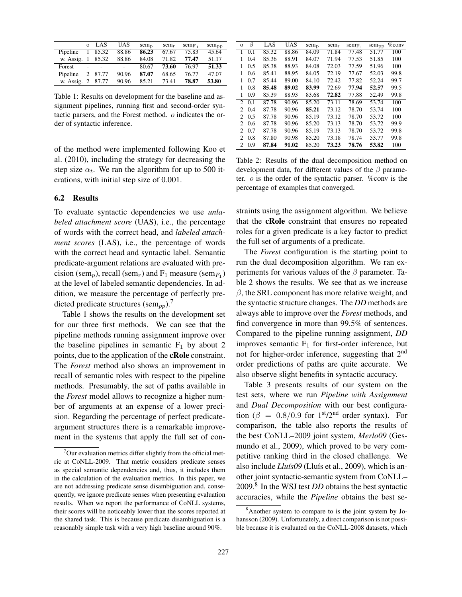|             |   | o LAS   | <b>UAS</b> | $sem_{\text{D}}$ | $sem_r$ | $sem_{F1}$ | $sem_{DD}$ |
|-------------|---|---------|------------|------------------|---------|------------|------------|
| Pipeline    | 1 | 85.32   | 88.86      | 86.23            | 67.67   | 75.83      | 45.64      |
| w. Assig.   |   | 85.32   | 88.86      | 84.08            | 71.82   | 77.47      | 51.17      |
| Forest      |   |         |            | 80.67            | 73.60   | 76.97      | 51.33      |
| Pipeline    |   | 2 87.77 | 90.96      | 87.07            | 68.65   | 76.77      | 47.07      |
| w. Assig. 2 |   | 87.77   | 90.96      | 85.21            | 73.41   | 78.87      | 53.80      |

Table 1: Results on development for the baseline and assignment pipelines, running first and second-order syntactic parsers, and the Forest method. o indicates the order of syntactic inference.

of the method were implemented following Koo et al. (2010), including the strategy for decreasing the step size  $\alpha_t$ . We ran the algorithm for up to 500 iterations, with initial step size of 0.001.

### 6.2 Results

To evaluate syntactic dependencies we use *unlabeled attachment score* (UAS), i.e., the percentage of words with the correct head, and *labeled attachment scores* (LAS), i.e., the percentage of words with the correct head and syntactic label. Semantic predicate-argument relations are evaluated with precision (sem<sub>p</sub>), recall (sem<sub>r</sub>) and  $F_1$  measure (sem<sub>F<sub>1</sub></sub>) at the level of labeled semantic dependencies. In addition, we measure the percentage of perfectly predicted predicate structures (sem<sub>pp</sub>).<sup>7</sup>

Table 1 shows the results on the development set for our three first methods. We can see that the pipeline methods running assignment improve over the baseline pipelines in semantic  $F_1$  by about 2 points, due to the application of the cRole constraint. The *Forest* method also shows an improvement in recall of semantic roles with respect to the pipeline methods. Presumably, the set of paths available in the *Forest* model allows to recognize a higher number of arguments at an expense of a lower precision. Regarding the percentage of perfect predicateargument structures there is a remarkable improvement in the systems that apply the full set of con-

| $\mathbf{o}$                | β   | LAS   | UAS   | $sem_{\text{D}}$ | $sem_r$ | $sem_{\mathrm{F}}$ | $sem_{pp}$ | $\%$ conv |
|-----------------------------|-----|-------|-------|------------------|---------|--------------------|------------|-----------|
| 1                           | 0.1 | 85.32 | 88.86 | 84.09            | 71.84   | 77.48              | 51.77      | 100       |
| 1                           | 0.4 | 85.36 | 88.91 | 84.07            | 71.94   | 77.53              | 51.85      | 100       |
| 1                           | 0.5 | 85.38 | 88.93 | 84.08            | 72.03   | 77.59              | 51.96      | 100       |
| 1                           | 0.6 | 85.41 | 88.95 | 84.05            | 72.19   | 77.67              | 52.03      | 99.8      |
| 1                           | 0.7 | 85.44 | 89.00 | 84.10            | 72.42   | 77.82              | 52.24      | 99.7      |
| 1                           | 0.8 | 85.48 | 89.02 | 83.99            | 72.69   | 77.94              | 52.57      | 99.5      |
| 1                           | 0.9 | 85.39 | 88.93 | 83.68            | 72.82   | 77.88              | 52.49      | 99.8      |
| $2^{\circ}$                 | 0.1 | 87.78 | 90.96 | 85.20            | 73.11   | 78.69              | 53.74      | 100       |
| $\mathfrak{D}$              | 0.4 | 87.78 | 90.96 | 85.21            | 73.12   | 78.70              | 53.74      | 100       |
| 2                           | 0.5 | 87.78 | 90.96 | 85.19            | 73.12   | 78.70              | 53.72      | 100       |
| $\mathfrak{D}$              | 0.6 | 87.78 | 90.96 | 85.20            | 73.13   | 78.70              | 53.72      | 99.9      |
| $\mathcal{D}_{\mathcal{A}}$ | 0.7 | 87.78 | 90.96 | 85.19            | 73.13   | 78.70              | 53.72      | 99.8      |
| $\mathcal{D}_{\mathcal{A}}$ | 0.8 | 87.80 | 90.98 | 85.20            | 73.18   | 78.74              | 53.77      | 99.8      |
| 2                           | 0.9 | 87.84 | 91.02 | 85.20            | 73.23   | 78.76              | 53.82      | 100       |

Table 2: Results of the dual decomposition method on development data, for different values of the  $\beta$  parameter. o is the order of the syntactic parser. %conv is the percentage of examples that converged.

straints using the assignment algorithm. We believe that the cRole constraint that ensures no repeated roles for a given predicate is a key factor to predict the full set of arguments of a predicate.

The *Forest* configuration is the starting point to run the dual decomposition algorithm. We ran experiments for various values of the  $\beta$  parameter. Table 2 shows the results. We see that as we increase  $\beta$ , the SRL component has more relative weight, and the syntactic structure changes. The *DD* methods are always able to improve over the *Forest* methods, and find convergence in more than 99.5% of sentences. Compared to the pipeline running assignment, *DD* improves semantic  $F_1$  for first-order inference, but not for higher-order inference, suggesting that 2nd order predictions of paths are quite accurate. We also observe slight benefits in syntactic accuracy.

Table 3 presents results of our system on the test sets, where we run *Pipeline with Assignment* and *Dual Decomposition* with our best configuration ( $\beta = 0.8/0.9$  for  $1<sup>st</sup>/2<sup>nd</sup>$  order syntax). For comparison, the table also reports the results of the best CoNLL–2009 joint system, *Merlo09* (Gesmundo et al., 2009), which proved to be very competitive ranking third in the closed challenge. We also include *Lluís09* (Lluís et al., 2009), which is another joint syntactic-semantic system from CoNLL– 2009.<sup>8</sup> In the WSJ test *DD* obtains the best syntactic accuracies, while the *Pipeline* obtains the best se-

 $7$ Our evaluation metrics differ slightly from the official metric at CoNLL-2009. That metric considers predicate senses as special semantic dependencies and, thus, it includes them in the calculation of the evaluation metrics. In this paper, we are not addressing predicate sense disambiguation and, consequently, we ignore predicate senses when presenting evaluation results. When we report the performance of CoNLL systems, their scores will be noticeably lower than the scores reported at the shared task. This is because predicate disambiguation is a reasonably simple task with a very high baseline around 90%.

<sup>8</sup>Another system to compare to is the joint system by Johansson (2009). Unfortunately, a direct comparison is not possible because it is evaluated on the CoNLL-2008 datasets, which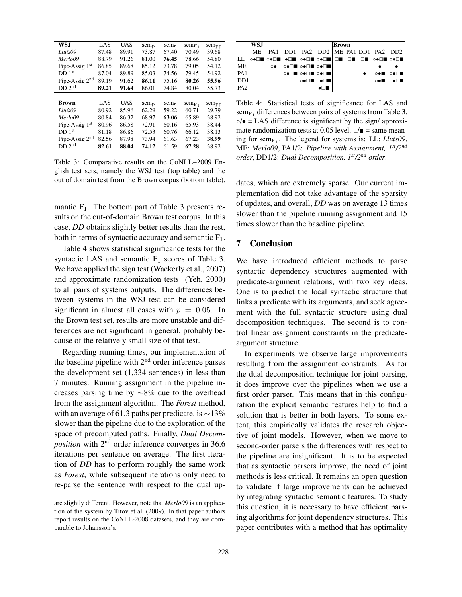| WSJ                           | LAS   | UAS        | $sem_{\text{D}}$ | $sem_r$ | $sem_{\text{F}}$ | $sem_{pp}$ |
|-------------------------------|-------|------------|------------------|---------|------------------|------------|
| Lluís09                       | 87.48 | 89.91      | 73.87            | 67.40   | 70.49            | 39.68      |
| Merlo09                       | 88.79 | 91.26      | 81.00            | 76.45   | 78.66            | 54.80      |
| Pipe-Assig $1st$              | 86.85 | 89.68      | 85.12            | 73.78   | 79.05            | 54.12      |
| DD1 <sup>st</sup>             | 87.04 | 89.89      | 85.03            | 74.56   | 79.45            | 54.92      |
| Pipe-Assig 2 <sup>nd</sup>    | 89.19 | 91.62      | 86.11            | 75.16   | 80.26            | 55.96      |
| DD 2 <sup>nd</sup>            | 89.21 | 91.64      | 86.01            | 74.84   | 80.04            | 55.73      |
|                               |       |            |                  |         |                  |            |
| <b>Brown</b>                  | LAS   | <b>UAS</b> | $sem_{D}$        | $sem_r$ | $sem_{F1}$       | $sem_{pp}$ |
| Lluís09                       | 80.92 | 85.96      | 62.29            | 59.22   | 60.71            | 29.79      |
| Merlo09                       | 80.84 | 86.32      | 68.97            | 63.06   | 65.89            | 38.92      |
| Pipe-Assig 1 <sup>st</sup>    | 80.96 | 86.58      | 72.91            | 60.16   | 65.93            | 38.44      |
| DD <sub>1</sub> <sup>st</sup> | 81.18 | 86.86      | 72.53            | 60.76   | 66.12            | 38.13      |
| Pipe-Assig 2 <sup>nd</sup>    | 82.56 | 87.98      | 73.94            | 61.63   | 67.23            | 38.99      |
| DD 2 <sup>nd</sup>            | 82.61 | 88.04      | 74.12            | 61.59   | 67.28            | 38.92      |

Table 3: Comparative results on the CoNLL–2009 English test sets, namely the WSJ test (top table) and the out of domain test from the Brown corpus (bottom table).

mantic  $F_1$ . The bottom part of Table 3 presents results on the out-of-domain Brown test corpus. In this case, *DD* obtains slightly better results than the rest, both in terms of syntactic accuracy and semantic  $F_1$ .

Table 4 shows statistical significance tests for the syntactic LAS and semantic  $F_1$  scores of Table 3. We have applied the sign test (Wackerly et al., 2007) and approximate randomization tests (Yeh, 2000) to all pairs of systems outputs. The differences between systems in the WSJ test can be considered significant in almost all cases with  $p = 0.05$ . In the Brown test set, results are more unstable and differences are not significant in general, probably because of the relatively small size of that test.

Regarding running times, our implementation of the baseline pipeline with  $2<sup>nd</sup>$  order inference parses the development set (1,334 sentences) in less than 7 minutes. Running assignment in the pipeline increases parsing time by ∼8% due to the overhead from the assignment algorithm. The *Forest* method, with an average of 61.3 paths per predicate, is  $\sim$ 13% slower than the pipeline due to the exploration of the space of precomputed paths. Finally, *Dual Decomposition* with 2<sup>nd</sup> order inference converges in 36.6 iterations per sentence on average. The first iteration of *DD* has to perform roughly the same work as *Forest*, while subsequent iterations only need to re-parse the sentence with respect to the dual up-

|                             | WS.J |    |                                    |           | <b>Brown</b> |  |          |
|-----------------------------|------|----|------------------------------------|-----------|--------------|--|----------|
|                             | ME.  |    | PA1 DD1 PA2 DD2 ME PA1 DD1 PA2 DD2 |           |              |  |          |
| LL.                         |      |    |                                    |           |              |  |          |
| ME.                         |      | ∩● | OON OON CON                        |           |              |  |          |
| PA <sub>1</sub>             |      |    | OON OON CON                        |           |              |  | ⊙●∎ ⊙●⊟∎ |
| D <sub>D</sub> <sub>1</sub> |      |    |                                    | O●□■ O●□■ |              |  | ⊙●∎ ⊙●⊟∎ |
| PA2                         |      |    |                                    |           |              |  |          |

Table 4: Statistical tests of significance for LAS and  $sem_{F_1}$  differences between pairs of systems from Table 3.  $\circ/\bullet =$  LAS difference is significant by the sign/ approximate randomization tests at 0.05 level.  $\square/\blacksquare$  = same meaning for sem<sub>F<sub>1</sub></sub>. The legend for systems is: LL: *Lluís09*, ME: *Merlo09*, PA1/2: *Pipeline with Assignment, 1st/2nd order*, DD1/2: *Dual Decomposition, 1st/2nd order*.

dates, which are extremely sparse. Our current implementation did not take advantage of the sparsity of updates, and overall, *DD* was on average 13 times slower than the pipeline running assignment and 15 times slower than the baseline pipeline.

## 7 Conclusion

We have introduced efficient methods to parse syntactic dependency structures augmented with predicate-argument relations, with two key ideas. One is to predict the local syntactic structure that links a predicate with its arguments, and seek agreement with the full syntactic structure using dual decomposition techniques. The second is to control linear assignment constraints in the predicateargument structure.

In experiments we observe large improvements resulting from the assignment constraints. As for the dual decomposition technique for joint parsing, it does improve over the pipelines when we use a first order parser. This means that in this configuration the explicit semantic features help to find a solution that is better in both layers. To some extent, this empirically validates the research objective of joint models. However, when we move to second-order parsers the differences with respect to the pipeline are insignificant. It is to be expected that as syntactic parsers improve, the need of joint methods is less critical. It remains an open question to validate if large improvements can be achieved by integrating syntactic-semantic features. To study this question, it is necessary to have efficient parsing algorithms for joint dependency structures. This paper contributes with a method that has optimality

are slightly different. However, note that *Merlo09* is an application of the system by Titov et al. (2009). In that paper authors report results on the CoNLL-2008 datasets, and they are comparable to Johansson's.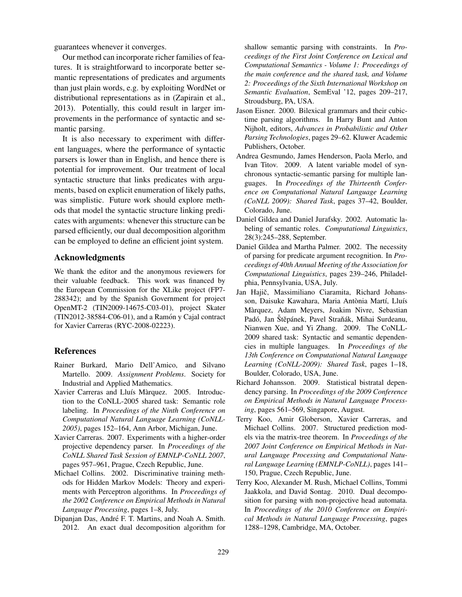guarantees whenever it converges.

Our method can incorporate richer families of features. It is straightforward to incorporate better semantic representations of predicates and arguments than just plain words, e.g. by exploiting WordNet or distributional representations as in (Zapirain et al., 2013). Potentially, this could result in larger improvements in the performance of syntactic and semantic parsing.

It is also necessary to experiment with different languages, where the performance of syntactic parsers is lower than in English, and hence there is potential for improvement. Our treatment of local syntactic structure that links predicates with arguments, based on explicit enumeration of likely paths, was simplistic. Future work should explore methods that model the syntactic structure linking predicates with arguments: whenever this structure can be parsed efficiently, our dual decomposition algorithm can be employed to define an efficient joint system.

### Acknowledgments

We thank the editor and the anonymous reviewers for their valuable feedback. This work was financed by the European Commission for the XLike project (FP7- 288342); and by the Spanish Government for project OpenMT-2 (TIN2009-14675-C03-01), project Skater  $(TIN2012-38584-C06-01)$ , and a Ramón y Cajal contract for Xavier Carreras (RYC-2008-02223).

### References

- Rainer Burkard, Mario Dell'Amico, and Silvano Martello. 2009. *Assignment Problems*. Society for Industrial and Applied Mathematics.
- Xavier Carreras and Lluís Màrquez. 2005. Introduction to the CoNLL-2005 shared task: Semantic role labeling. In *Proceedings of the Ninth Conference on Computational Natural Language Learning (CoNLL-2005)*, pages 152–164, Ann Arbor, Michigan, June.
- Xavier Carreras. 2007. Experiments with a higher-order projective dependency parser. In *Proceedings of the CoNLL Shared Task Session of EMNLP-CoNLL 2007*, pages 957–961, Prague, Czech Republic, June.
- Michael Collins. 2002. Discriminative training methods for Hidden Markov Models: Theory and experiments with Perceptron algorithms. In *Proceedings of the 2002 Conference on Empirical Methods in Natural Language Processing*, pages 1–8, July.
- Dipanjan Das, André F. T. Martins, and Noah A. Smith. 2012. An exact dual decomposition algorithm for

shallow semantic parsing with constraints. In *Proceedings of the First Joint Conference on Lexical and Computational Semantics - Volume 1: Proceedings of the main conference and the shared task, and Volume 2: Proceedings of the Sixth International Workshop on Semantic Evaluation*, SemEval '12, pages 209–217, Stroudsburg, PA, USA.

- Jason Eisner. 2000. Bilexical grammars and their cubictime parsing algorithms. In Harry Bunt and Anton Nijholt, editors, *Advances in Probabilistic and Other Parsing Technologies*, pages 29–62. Kluwer Academic Publishers, October.
- Andrea Gesmundo, James Henderson, Paola Merlo, and Ivan Titov. 2009. A latent variable model of synchronous syntactic-semantic parsing for multiple languages. In *Proceedings of the Thirteenth Conference on Computational Natural Language Learning (CoNLL 2009): Shared Task*, pages 37–42, Boulder, Colorado, June.
- Daniel Gildea and Daniel Jurafsky. 2002. Automatic labeling of semantic roles. *Computational Linguistics*, 28(3):245–288, September.
- Daniel Gildea and Martha Palmer. 2002. The necessity of parsing for predicate argument recognition. In *Proceedings of 40th Annual Meeting of the Association for Computational Linguistics*, pages 239–246, Philadelphia, Pennsylvania, USA, July.
- Jan Hajič, Massimiliano Ciaramita, Richard Johansson, Daisuke Kawahara, Maria Antònia Martí, Lluís Marquez, Adam Meyers, Joakim Nivre, Sebastian ` Padó, Jan Štěpánek, Pavel Straňák, Mihai Surdeanu, Nianwen Xue, and Yi Zhang. 2009. The CoNLL-2009 shared task: Syntactic and semantic dependencies in multiple languages. In *Proceedings of the 13th Conference on Computational Natural Language Learning (CoNLL-2009): Shared Task*, pages 1–18, Boulder, Colorado, USA, June.
- Richard Johansson. 2009. Statistical bistratal dependency parsing. In *Proceedings of the 2009 Conference on Empirical Methods in Natural Language Processing*, pages 561–569, Singapore, August.
- Terry Koo, Amir Globerson, Xavier Carreras, and Michael Collins. 2007. Structured prediction models via the matrix-tree theorem. In *Proceedings of the 2007 Joint Conference on Empirical Methods in Natural Language Processing and Computational Natural Language Learning (EMNLP-CoNLL)*, pages 141– 150, Prague, Czech Republic, June.
- Terry Koo, Alexander M. Rush, Michael Collins, Tommi Jaakkola, and David Sontag. 2010. Dual decomposition for parsing with non-projective head automata. In *Proceedings of the 2010 Conference on Empirical Methods in Natural Language Processing*, pages 1288–1298, Cambridge, MA, October.